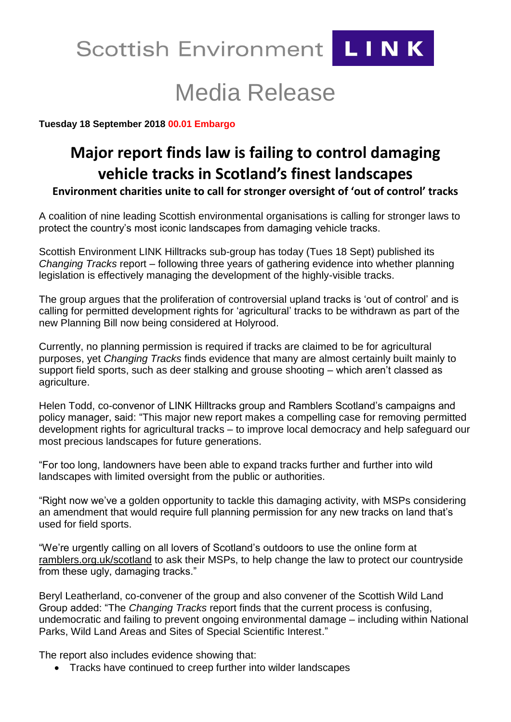

# Media Release

**Tuesday 18 September 2018 00.01 Embargo**

# **Major report finds law is failing to control damaging vehicle tracks in Scotland's finest landscapes**

**Environment charities unite to call for stronger oversight of 'out of control' tracks**

A coalition of nine leading Scottish environmental organisations is calling for stronger laws to protect the country's most iconic landscapes from damaging vehicle tracks.

Scottish Environment LINK Hilltracks sub-group has today (Tues 18 Sept) published its *Changing Tracks* report – following three years of gathering evidence into whether planning legislation is effectively managing the development of the highly-visible tracks.

The group argues that the proliferation of controversial upland tracks is 'out of control' and is calling for permitted development rights for 'agricultural' tracks to be withdrawn as part of the new Planning Bill now being considered at Holyrood.

Currently, no planning permission is required if tracks are claimed to be for agricultural purposes, yet *Changing Tracks* finds evidence that many are almost certainly built mainly to support field sports, such as deer stalking and grouse shooting – which aren't classed as agriculture.

Helen Todd, co-convenor of LINK Hilltracks group and Ramblers Scotland's campaigns and policy manager, said: "This major new report makes a compelling case for removing permitted development rights for agricultural tracks – to improve local democracy and help safeguard our most precious landscapes for future generations.

"For too long, landowners have been able to expand tracks further and further into wild landscapes with limited oversight from the public or authorities.

"Right now we've a golden opportunity to tackle this damaging activity, with MSPs considering an amendment that would require full planning permission for any new tracks on land that's used for field sports.

"We're urgently calling on all lovers of Scotland's outdoors to use the online form at ramblers.org.uk/scotland to ask their MSPs, to help change the law to protect our countryside from these ugly, damaging tracks."

Beryl Leatherland, co-convener of the group and also convener of the Scottish Wild Land Group added: "The *Changing Tracks* report finds that the current process is confusing, undemocratic and failing to prevent ongoing environmental damage – including within National Parks, Wild Land Areas and Sites of Special Scientific Interest."

The report also includes evidence showing that:

• Tracks have continued to creep further into wilder landscapes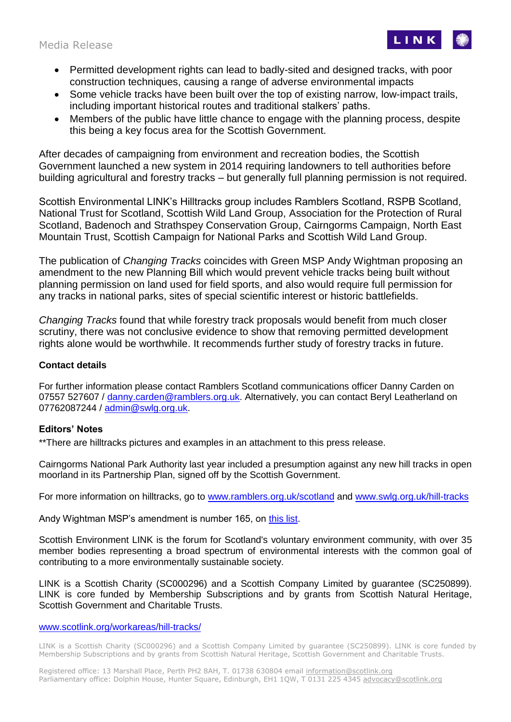Media Release



- Permitted development rights can lead to badly-sited and designed tracks, with poor construction techniques, causing a range of adverse environmental impacts
- Some vehicle tracks have been built over the top of existing narrow, low-impact trails, including important historical routes and traditional stalkers' paths.
- Members of the public have little chance to engage with the planning process, despite this being a key focus area for the Scottish Government.

After decades of campaigning from environment and recreation bodies, the Scottish Government launched a new system in 2014 requiring landowners to tell authorities before building agricultural and forestry tracks – but generally full planning permission is not required.

Scottish Environmental LINK's Hilltracks group includes Ramblers Scotland, RSPB Scotland, National Trust for Scotland, Scottish Wild Land Group, Association for the Protection of Rural Scotland, Badenoch and Strathspey Conservation Group, Cairngorms Campaign, North East Mountain Trust, Scottish Campaign for National Parks and Scottish Wild Land Group.

The publication of *Changing Tracks* coincides with Green MSP Andy Wightman proposing an amendment to the new Planning Bill which would prevent vehicle tracks being built without planning permission on land used for field sports, and also would require full permission for any tracks in national parks, sites of special scientific interest or historic battlefields.

*Changing Tracks* found that while forestry track proposals would benefit from much closer scrutiny, there was not conclusive evidence to show that removing permitted development rights alone would be worthwhile. It recommends further study of forestry tracks in future.

## **Contact details**

For further information please contact Ramblers Scotland communications officer Danny Carden on 07557 527607 / [danny.carden@ramblers.org.uk.](mailto:danny.carden@ramblers.org.uk) Alternatively, you can contact Beryl Leatherland on 07762087244 / [admin@swlg.org.uk.](mailto:admin@swlg.org.uk)

### **Editors' Notes**

\*\*There are hilltracks pictures and examples in an attachment to this press release.

Cairngorms National Park Authority last year included a presumption against any new hill tracks in open moorland in its Partnership Plan, signed off by the Scottish Government.

For more information on hilltracks, go to [www.ramblers.org.uk/scotland](http://www.ramblers.org.uk/scotland) and [www.swlg.org.uk/hill-tracks](http://www.swlg.org.uk/hill-tracks)

Andy Wightman MSP's amendment is number 165, on [this list.](http://www.parliament.scot/Planning%20(Scotland)%20Bill/SPBill23MLS052018.pdf)

Scottish Environment LINK is the forum for Scotland's voluntary environment community, with over 35 member bodies representing a broad spectrum of environmental interests with the common goal of contributing to a more environmentally sustainable society.

LINK is a Scottish Charity (SC000296) and a Scottish Company Limited by guarantee (SC250899). LINK is core funded by Membership Subscriptions and by grants from Scottish Natural Heritage, Scottish Government and Charitable Trusts.

### [www.scotlink.org/workareas/hill-tracks/](http://www.scotlink.org/workareas/hill-tracks/)

LINK is a Scottish Charity (SC000296) and a Scottish Company Limited by guarantee (SC250899). LINK is core funded by Membership Subscriptions and by grants from Scottish Natural Heritage, Scottish Government and Charitable Trusts.

Registered office: 13 Marshall Place, Perth PH2 8AH, T. 01738 630804 email information@scotlink.org Parliamentary office: Dolphin House, Hunter Square, Edinburgh, EH1 1QW, T 0131 225 4345 advocacy@scotlink.org